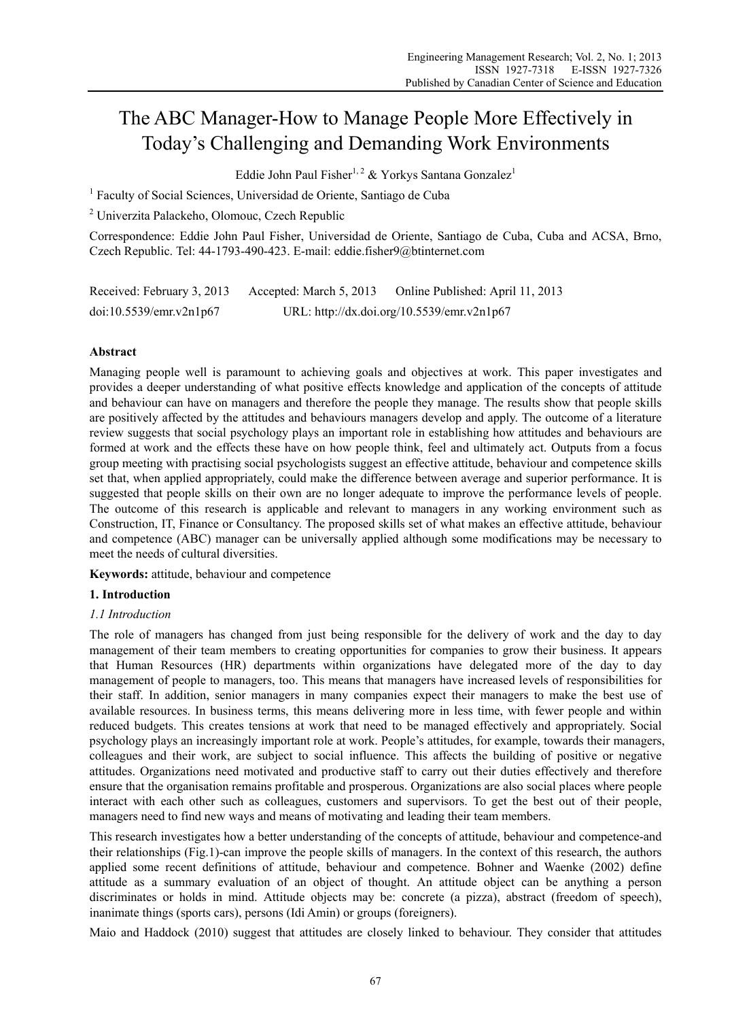# The ABC Manager-How to Manage People More Effectively in Today's Challenging and Demanding Work Environments

Eddie John Paul Fisher<sup>1, 2</sup> & Yorkys Santana Gonzalez<sup>1</sup>

<sup>1</sup> Faculty of Social Sciences, Universidad de Oriente, Santiago de Cuba

2 Univerzita Palackeho, Olomouc, Czech Republic

Correspondence: Eddie John Paul Fisher, Universidad de Oriente, Santiago de Cuba, Cuba and ACSA, Brno, Czech Republic. Tel: 44-1793-490-423. E-mail: eddie.fisher9@btinternet.com

| Received: February 3, 2013 | Accepted: March 5, 2013                    | Online Published: April 11, 2013 |
|----------------------------|--------------------------------------------|----------------------------------|
| doi:10.5539/emr.v2n1p67    | URL: http://dx.doi.org/10.5539/emr.v2n1p67 |                                  |

## **Abstract**

Managing people well is paramount to achieving goals and objectives at work. This paper investigates and provides a deeper understanding of what positive effects knowledge and application of the concepts of attitude and behaviour can have on managers and therefore the people they manage. The results show that people skills are positively affected by the attitudes and behaviours managers develop and apply. The outcome of a literature review suggests that social psychology plays an important role in establishing how attitudes and behaviours are formed at work and the effects these have on how people think, feel and ultimately act. Outputs from a focus group meeting with practising social psychologists suggest an effective attitude, behaviour and competence skills set that, when applied appropriately, could make the difference between average and superior performance. It is suggested that people skills on their own are no longer adequate to improve the performance levels of people. The outcome of this research is applicable and relevant to managers in any working environment such as Construction, IT, Finance or Consultancy. The proposed skills set of what makes an effective attitude, behaviour and competence (ABC) manager can be universally applied although some modifications may be necessary to meet the needs of cultural diversities.

**Keywords:** attitude, behaviour and competence

## **1. Introduction**

## *1.1 Introduction*

The role of managers has changed from just being responsible for the delivery of work and the day to day management of their team members to creating opportunities for companies to grow their business. It appears that Human Resources (HR) departments within organizations have delegated more of the day to day management of people to managers, too. This means that managers have increased levels of responsibilities for their staff. In addition, senior managers in many companies expect their managers to make the best use of available resources. In business terms, this means delivering more in less time, with fewer people and within reduced budgets. This creates tensions at work that need to be managed effectively and appropriately. Social psychology plays an increasingly important role at work. People's attitudes, for example, towards their managers, colleagues and their work, are subject to social influence. This affects the building of positive or negative attitudes. Organizations need motivated and productive staff to carry out their duties effectively and therefore ensure that the organisation remains profitable and prosperous. Organizations are also social places where people interact with each other such as colleagues, customers and supervisors. To get the best out of their people, managers need to find new ways and means of motivating and leading their team members.

This research investigates how a better understanding of the concepts of attitude, behaviour and competence-and their relationships (Fig.1)-can improve the people skills of managers. In the context of this research, the authors applied some recent definitions of attitude, behaviour and competence. Bohner and Waenke (2002) define attitude as a summary evaluation of an object of thought. An attitude object can be anything a person discriminates or holds in mind. Attitude objects may be: concrete (a pizza), abstract (freedom of speech), inanimate things (sports cars), persons (Idi Amin) or groups (foreigners).

Maio and Haddock (2010) suggest that attitudes are closely linked to behaviour. They consider that attitudes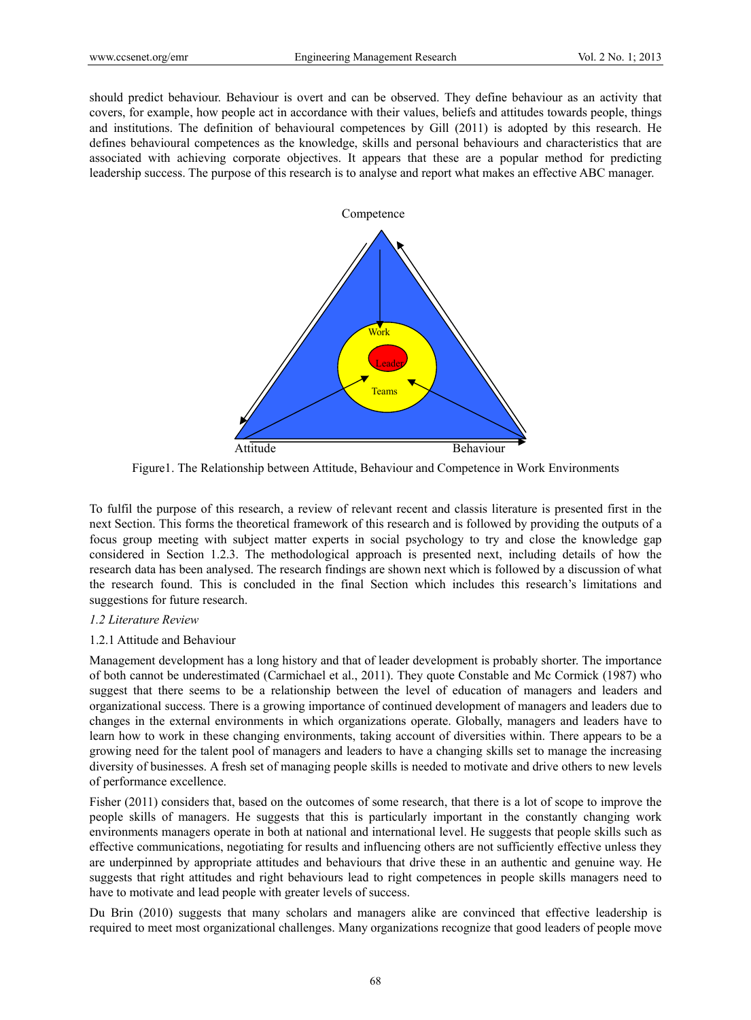should predict behaviour. Behaviour is overt and can be observed. They define behaviour as an activity that covers, for example, how people act in accordance with their values, beliefs and attitudes towards people, things and institutions. The definition of behavioural competences by Gill (2011) is adopted by this research. He defines behavioural competences as the knowledge, skills and personal behaviours and characteristics that are associated with achieving corporate objectives. It appears that these are a popular method for predicting leadership success. The purpose of this research is to analyse and report what makes an effective ABC manager.



Figure1. The Relationship between Attitude, Behaviour and Competence in Work Environments

To fulfil the purpose of this research, a review of relevant recent and classis literature is presented first in the next Section. This forms the theoretical framework of this research and is followed by providing the outputs of a focus group meeting with subject matter experts in social psychology to try and close the knowledge gap considered in Section 1.2.3. The methodological approach is presented next, including details of how the research data has been analysed. The research findings are shown next which is followed by a discussion of what the research found. This is concluded in the final Section which includes this research's limitations and suggestions for future research.

### *1.2 Literature Review*

### 1.2.1 Attitude and Behaviour

Management development has a long history and that of leader development is probably shorter. The importance of both cannot be underestimated (Carmichael et al., 2011). They quote Constable and Mc Cormick (1987) who suggest that there seems to be a relationship between the level of education of managers and leaders and organizational success. There is a growing importance of continued development of managers and leaders due to changes in the external environments in which organizations operate. Globally, managers and leaders have to learn how to work in these changing environments, taking account of diversities within. There appears to be a growing need for the talent pool of managers and leaders to have a changing skills set to manage the increasing diversity of businesses. A fresh set of managing people skills is needed to motivate and drive others to new levels of performance excellence.

Fisher (2011) considers that, based on the outcomes of some research, that there is a lot of scope to improve the people skills of managers. He suggests that this is particularly important in the constantly changing work environments managers operate in both at national and international level. He suggests that people skills such as effective communications, negotiating for results and influencing others are not sufficiently effective unless they are underpinned by appropriate attitudes and behaviours that drive these in an authentic and genuine way. He suggests that right attitudes and right behaviours lead to right competences in people skills managers need to have to motivate and lead people with greater levels of success.

Du Brin (2010) suggests that many scholars and managers alike are convinced that effective leadership is required to meet most organizational challenges. Many organizations recognize that good leaders of people move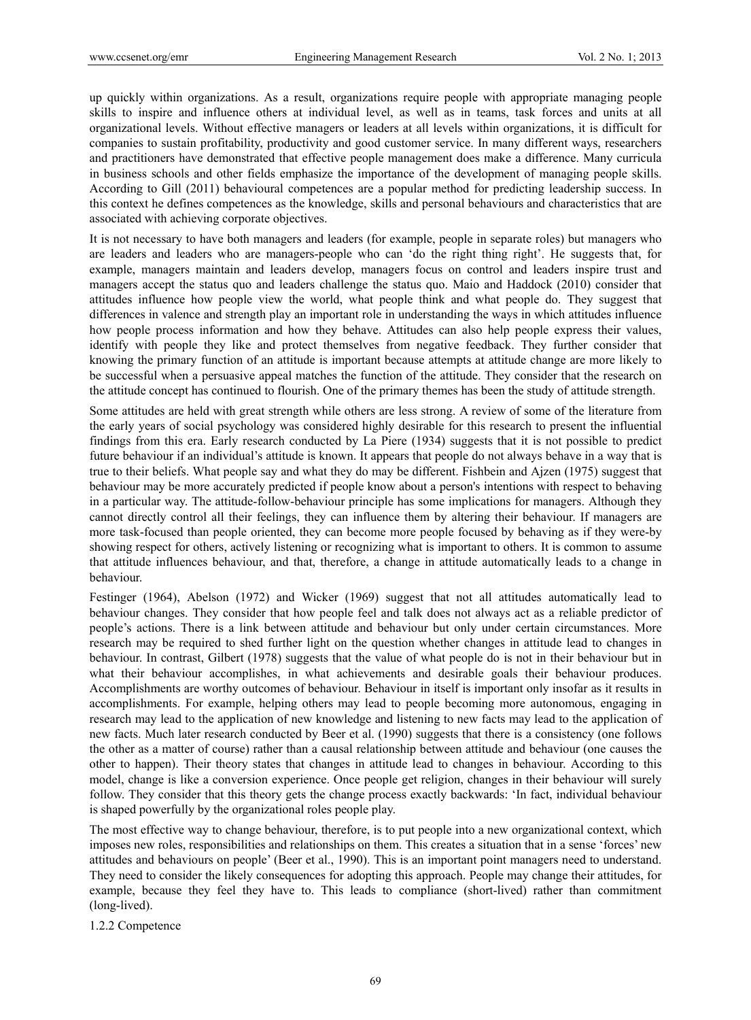up quickly within organizations. As a result, organizations require people with appropriate managing people skills to inspire and influence others at individual level, as well as in teams, task forces and units at all organizational levels. Without effective managers or leaders at all levels within organizations, it is difficult for companies to sustain profitability, productivity and good customer service. In many different ways, researchers and practitioners have demonstrated that effective people management does make a difference. Many curricula in business schools and other fields emphasize the importance of the development of managing people skills. According to Gill (2011) behavioural competences are a popular method for predicting leadership success. In this context he defines competences as the knowledge, skills and personal behaviours and characteristics that are associated with achieving corporate objectives.

It is not necessary to have both managers and leaders (for example, people in separate roles) but managers who are leaders and leaders who are managers-people who can 'do the right thing right'. He suggests that, for example, managers maintain and leaders develop, managers focus on control and leaders inspire trust and managers accept the status quo and leaders challenge the status quo. Maio and Haddock (2010) consider that attitudes influence how people view the world, what people think and what people do. They suggest that differences in valence and strength play an important role in understanding the ways in which attitudes influence how people process information and how they behave. Attitudes can also help people express their values, identify with people they like and protect themselves from negative feedback. They further consider that knowing the primary function of an attitude is important because attempts at attitude change are more likely to be successful when a persuasive appeal matches the function of the attitude. They consider that the research on the attitude concept has continued to flourish. One of the primary themes has been the study of attitude strength.

Some attitudes are held with great strength while others are less strong. A review of some of the literature from the early years of social psychology was considered highly desirable for this research to present the influential findings from this era. Early research conducted by La Piere (1934) suggests that it is not possible to predict future behaviour if an individual's attitude is known. It appears that people do not always behave in a way that is true to their beliefs. What people say and what they do may be different. Fishbein and Ajzen (1975) suggest that behaviour may be more accurately predicted if people know about a person's intentions with respect to behaving in a particular way. The attitude-follow-behaviour principle has some implications for managers. Although they cannot directly control all their feelings, they can influence them by altering their behaviour. If managers are more task-focused than people oriented, they can become more people focused by behaving as if they were-by showing respect for others, actively listening or recognizing what is important to others. It is common to assume that attitude influences behaviour, and that, therefore, a change in attitude automatically leads to a change in behaviour.

Festinger (1964), Abelson (1972) and Wicker (1969) suggest that not all attitudes automatically lead to behaviour changes. They consider that how people feel and talk does not always act as a reliable predictor of people's actions. There is a link between attitude and behaviour but only under certain circumstances. More research may be required to shed further light on the question whether changes in attitude lead to changes in behaviour. In contrast, Gilbert (1978) suggests that the value of what people do is not in their behaviour but in what their behaviour accomplishes, in what achievements and desirable goals their behaviour produces. Accomplishments are worthy outcomes of behaviour. Behaviour in itself is important only insofar as it results in accomplishments. For example, helping others may lead to people becoming more autonomous, engaging in research may lead to the application of new knowledge and listening to new facts may lead to the application of new facts. Much later research conducted by Beer et al. (1990) suggests that there is a consistency (one follows the other as a matter of course) rather than a causal relationship between attitude and behaviour (one causes the other to happen). Their theory states that changes in attitude lead to changes in behaviour. According to this model, change is like a conversion experience. Once people get religion, changes in their behaviour will surely follow. They consider that this theory gets the change process exactly backwards: 'In fact, individual behaviour is shaped powerfully by the organizational roles people play.

The most effective way to change behaviour, therefore, is to put people into a new organizational context, which imposes new roles, responsibilities and relationships on them. This creates a situation that in a sense 'forces' new attitudes and behaviours on people' (Beer et al., 1990). This is an important point managers need to understand. They need to consider the likely consequences for adopting this approach. People may change their attitudes, for example, because they feel they have to. This leads to compliance (short-lived) rather than commitment (long-lived).

1.2.2 Competence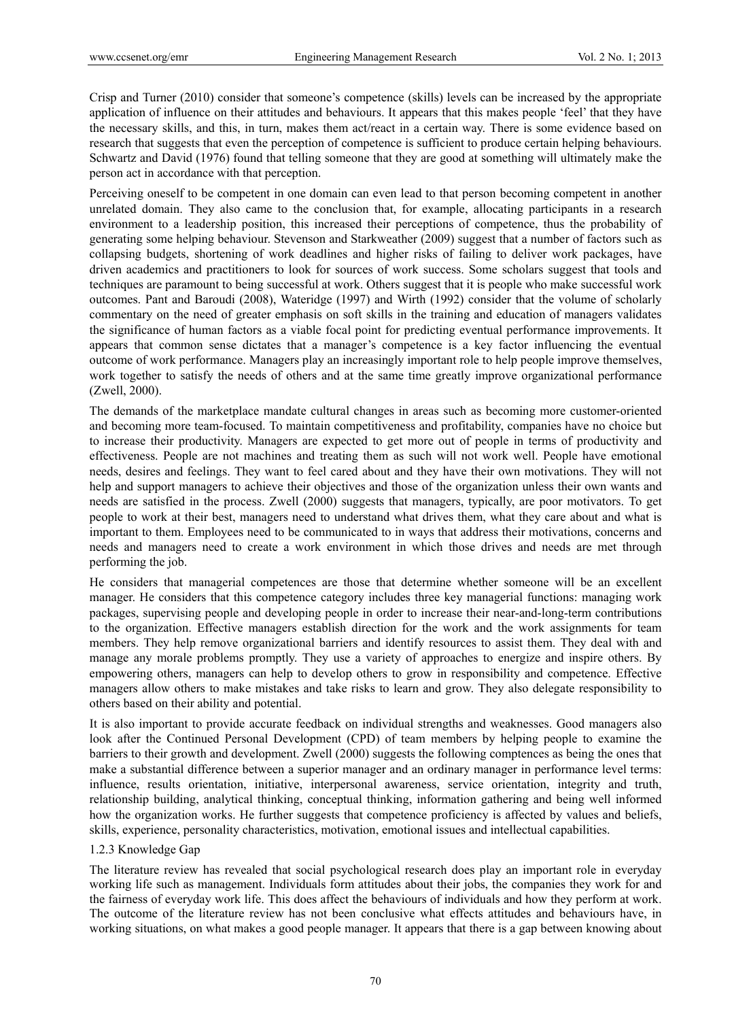Crisp and Turner (2010) consider that someone's competence (skills) levels can be increased by the appropriate application of influence on their attitudes and behaviours. It appears that this makes people 'feel' that they have the necessary skills, and this, in turn, makes them act/react in a certain way. There is some evidence based on research that suggests that even the perception of competence is sufficient to produce certain helping behaviours. Schwartz and David (1976) found that telling someone that they are good at something will ultimately make the person act in accordance with that perception.

Perceiving oneself to be competent in one domain can even lead to that person becoming competent in another unrelated domain. They also came to the conclusion that, for example, allocating participants in a research environment to a leadership position, this increased their perceptions of competence, thus the probability of generating some helping behaviour. Stevenson and Starkweather (2009) suggest that a number of factors such as collapsing budgets, shortening of work deadlines and higher risks of failing to deliver work packages, have driven academics and practitioners to look for sources of work success. Some scholars suggest that tools and techniques are paramount to being successful at work. Others suggest that it is people who make successful work outcomes. Pant and Baroudi (2008), Wateridge (1997) and Wirth (1992) consider that the volume of scholarly commentary on the need of greater emphasis on soft skills in the training and education of managers validates the significance of human factors as a viable focal point for predicting eventual performance improvements. It appears that common sense dictates that a manager's competence is a key factor influencing the eventual outcome of work performance. Managers play an increasingly important role to help people improve themselves, work together to satisfy the needs of others and at the same time greatly improve organizational performance (Zwell, 2000).

The demands of the marketplace mandate cultural changes in areas such as becoming more customer-oriented and becoming more team-focused. To maintain competitiveness and profitability, companies have no choice but to increase their productivity. Managers are expected to get more out of people in terms of productivity and effectiveness. People are not machines and treating them as such will not work well. People have emotional needs, desires and feelings. They want to feel cared about and they have their own motivations. They will not help and support managers to achieve their objectives and those of the organization unless their own wants and needs are satisfied in the process. Zwell (2000) suggests that managers, typically, are poor motivators. To get people to work at their best, managers need to understand what drives them, what they care about and what is important to them. Employees need to be communicated to in ways that address their motivations, concerns and needs and managers need to create a work environment in which those drives and needs are met through performing the job.

He considers that managerial competences are those that determine whether someone will be an excellent manager. He considers that this competence category includes three key managerial functions: managing work packages, supervising people and developing people in order to increase their near-and-long-term contributions to the organization. Effective managers establish direction for the work and the work assignments for team members. They help remove organizational barriers and identify resources to assist them. They deal with and manage any morale problems promptly. They use a variety of approaches to energize and inspire others. By empowering others, managers can help to develop others to grow in responsibility and competence. Effective managers allow others to make mistakes and take risks to learn and grow. They also delegate responsibility to others based on their ability and potential.

It is also important to provide accurate feedback on individual strengths and weaknesses. Good managers also look after the Continued Personal Development (CPD) of team members by helping people to examine the barriers to their growth and development. Zwell (2000) suggests the following comptences as being the ones that make a substantial difference between a superior manager and an ordinary manager in performance level terms: influence, results orientation, initiative, interpersonal awareness, service orientation, integrity and truth, relationship building, analytical thinking, conceptual thinking, information gathering and being well informed how the organization works. He further suggests that competence proficiency is affected by values and beliefs, skills, experience, personality characteristics, motivation, emotional issues and intellectual capabilities.

## 1.2.3 Knowledge Gap

The literature review has revealed that social psychological research does play an important role in everyday working life such as management. Individuals form attitudes about their jobs, the companies they work for and the fairness of everyday work life. This does affect the behaviours of individuals and how they perform at work. The outcome of the literature review has not been conclusive what effects attitudes and behaviours have, in working situations, on what makes a good people manager. It appears that there is a gap between knowing about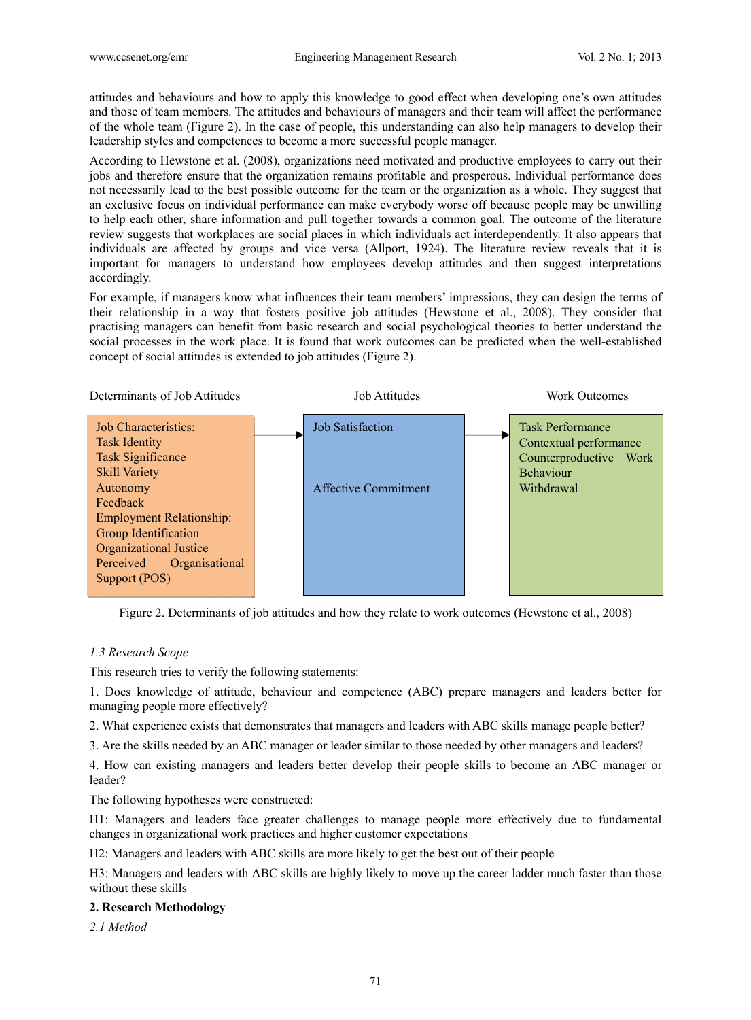attitudes and behaviours and how to apply this knowledge to good effect when developing one's own attitudes and those of team members. The attitudes and behaviours of managers and their team will affect the performance of the whole team (Figure 2). In the case of people, this understanding can also help managers to develop their leadership styles and competences to become a more successful people manager.

According to Hewstone et al. (2008), organizations need motivated and productive employees to carry out their jobs and therefore ensure that the organization remains profitable and prosperous. Individual performance does not necessarily lead to the best possible outcome for the team or the organization as a whole. They suggest that an exclusive focus on individual performance can make everybody worse off because people may be unwilling to help each other, share information and pull together towards a common goal. The outcome of the literature review suggests that workplaces are social places in which individuals act interdependently. It also appears that individuals are affected by groups and vice versa (Allport, 1924). The literature review reveals that it is important for managers to understand how employees develop attitudes and then suggest interpretations accordingly.

For example, if managers know what influences their team members' impressions, they can design the terms of their relationship in a way that fosters positive job attitudes (Hewstone et al., 2008). They consider that practising managers can benefit from basic research and social psychological theories to better understand the social processes in the work place. It is found that work outcomes can be predicted when the well-established concept of social attitudes is extended to job attitudes (Figure 2).



Figure 2. Determinants of job attitudes and how they relate to work outcomes (Hewstone et al., 2008)

## *1.3 Research Scope*

This research tries to verify the following statements:

1. Does knowledge of attitude, behaviour and competence (ABC) prepare managers and leaders better for managing people more effectively?

2. What experience exists that demonstrates that managers and leaders with ABC skills manage people better?

3. Are the skills needed by an ABC manager or leader similar to those needed by other managers and leaders?

4. How can existing managers and leaders better develop their people skills to become an ABC manager or leader?

The following hypotheses were constructed:

H1: Managers and leaders face greater challenges to manage people more effectively due to fundamental changes in organizational work practices and higher customer expectations

H2: Managers and leaders with ABC skills are more likely to get the best out of their people

H3: Managers and leaders with ABC skills are highly likely to move up the career ladder much faster than those without these skills

### **2. Research Methodology**

*2.1 Method*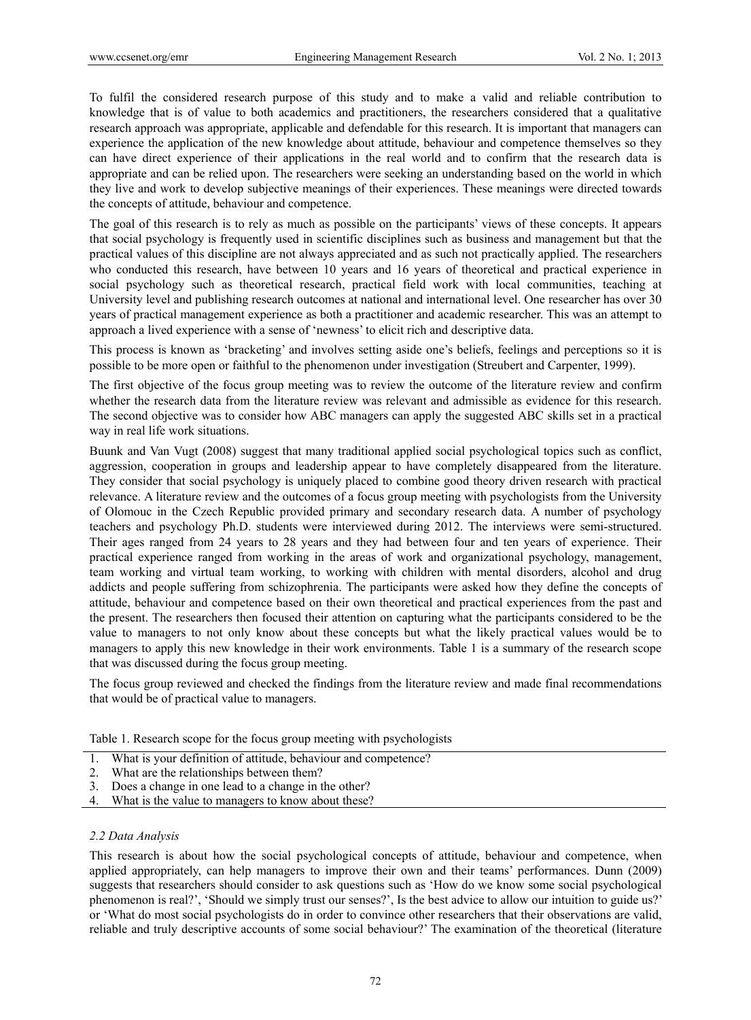To fulfil the considered research purpose of this study and to make a valid and reliable contribution to knowledge that is of value to both academics and practitioners, the researchers considered that a qualitative research approach was appropriate, applicable and defendable for this research. It is important that managers can experience the application of the new knowledge about attitude, behaviour and competence themselves so they can have direct experience of their applications in the real world and to confirm that the research data is appropriate and can be relied upon. The researchers were seeking an understanding based on the world in which they live and work to develop subjective meanings of their experiences. These meanings were directed towards the concepts of attitude, behaviour and competence.

The goal of this research is to rely as much as possible on the participants' views of these concepts. It appears that social psychology is frequently used in scientific disciplines such as business and management but that the practical values of this discipline are not always appreciated and as such not practically applied. The researchers who conducted this research, have between 10 years and 16 years of theoretical and practical experience in social psychology such as theoretical research, practical field work with local communities, teaching at University level and publishing research outcomes at national and international level. One researcher has over 30 years of practical management experience as both a practitioner and academic researcher. This was an attempt to approach a lived experience with a sense of 'newness' to elicit rich and descriptive data.

This process is known as 'bracketing' and involves setting aside one's beliefs, feelings and perceptions so it is possible to be more open or faithful to the phenomenon under investigation (Streubert and Carpenter, 1999).

The first objective of the focus group meeting was to review the outcome of the literature review and confirm whether the research data from the literature review was relevant and admissible as evidence for this research. The second objective was to consider how ABC managers can apply the suggested ABC skills set in a practical way in real life work situations.

Buunk and Van Vugt (2008) suggest that many traditional applied social psychological topics such as conflict, aggression, cooperation in groups and leadership appear to have completely disappeared from the literature. They consider that social psychology is uniquely placed to combine good theory driven research with practical relevance. A literature review and the outcomes of a focus group meeting with psychologists from the University of Olomouc in the Czech Republic provided primary and secondary research data. A number of psychology teachers and psychology Ph.D. students were interviewed during 2012. The interviews were semi-structured. Their ages ranged from 24 years to 28 years and they had between four and ten years of experience. Their practical experience ranged from working in the areas of work and organizational psychology, management, team working and virtual team working, to working with children with mental disorders, alcohol and drug addicts and people suffering from schizophrenia. The participants were asked how they define the concepts of attitude, behaviour and competence based on their own theoretical and practical experiences from the past and the present. The researchers then focused their attention on capturing what the participants considered to be the value to managers to not only know about these concepts but what the likely practical values would be to managers to apply this new knowledge in their work environments. Table 1 is a summary of the research scope that was discussed during the focus group meeting.

The focus group reviewed and checked the findings from the literature review and made final recommendations that would be of practical value to managers.

Table 1. Research scope for the focus group meeting with psychologists

- 1. What is your definition of attitude, behaviour and competence?
- 2. What are the relationships between them?
- 3. Does a change in one lead to a change in the other?
- 4. What is the value to managers to know about these?

### *2.2 Data Analysis*

This research is about how the social psychological concepts of attitude, behaviour and competence, when applied appropriately, can help managers to improve their own and their teams' performances. Dunn (2009) suggests that researchers should consider to ask questions such as 'How do we know some social psychological phenomenon is real?', 'Should we simply trust our senses?', Is the best advice to allow our intuition to guide us?' or 'What do most social psychologists do in order to convince other researchers that their observations are valid, reliable and truly descriptive accounts of some social behaviour?' The examination of the theoretical (literature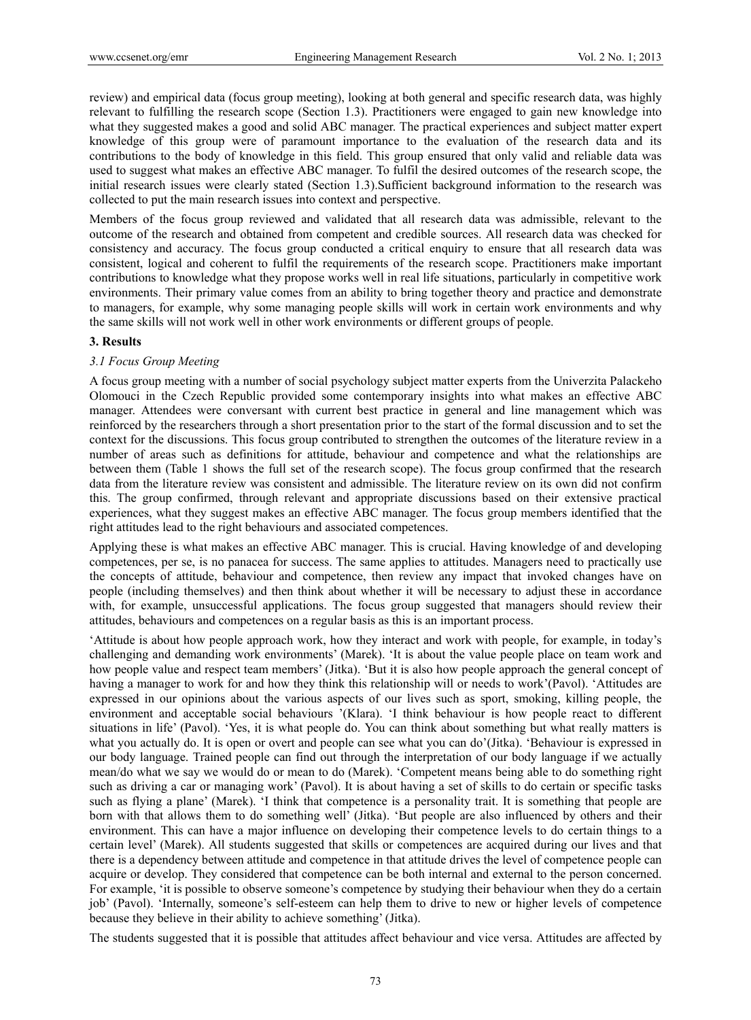review) and empirical data (focus group meeting), looking at both general and specific research data, was highly relevant to fulfilling the research scope (Section 1.3). Practitioners were engaged to gain new knowledge into what they suggested makes a good and solid ABC manager. The practical experiences and subject matter expert knowledge of this group were of paramount importance to the evaluation of the research data and its contributions to the body of knowledge in this field. This group ensured that only valid and reliable data was used to suggest what makes an effective ABC manager. To fulfil the desired outcomes of the research scope, the initial research issues were clearly stated (Section 1.3).Sufficient background information to the research was collected to put the main research issues into context and perspective.

Members of the focus group reviewed and validated that all research data was admissible, relevant to the outcome of the research and obtained from competent and credible sources. All research data was checked for consistency and accuracy. The focus group conducted a critical enquiry to ensure that all research data was consistent, logical and coherent to fulfil the requirements of the research scope. Practitioners make important contributions to knowledge what they propose works well in real life situations, particularly in competitive work environments. Their primary value comes from an ability to bring together theory and practice and demonstrate to managers, for example, why some managing people skills will work in certain work environments and why the same skills will not work well in other work environments or different groups of people.

### **3. Results**

### *3.1 Focus Group Meeting*

A focus group meeting with a number of social psychology subject matter experts from the Univerzita Palackeho Olomouci in the Czech Republic provided some contemporary insights into what makes an effective ABC manager. Attendees were conversant with current best practice in general and line management which was reinforced by the researchers through a short presentation prior to the start of the formal discussion and to set the context for the discussions. This focus group contributed to strengthen the outcomes of the literature review in a number of areas such as definitions for attitude, behaviour and competence and what the relationships are between them (Table 1 shows the full set of the research scope). The focus group confirmed that the research data from the literature review was consistent and admissible. The literature review on its own did not confirm this. The group confirmed, through relevant and appropriate discussions based on their extensive practical experiences, what they suggest makes an effective ABC manager. The focus group members identified that the right attitudes lead to the right behaviours and associated competences.

Applying these is what makes an effective ABC manager. This is crucial. Having knowledge of and developing competences, per se, is no panacea for success. The same applies to attitudes. Managers need to practically use the concepts of attitude, behaviour and competence, then review any impact that invoked changes have on people (including themselves) and then think about whether it will be necessary to adjust these in accordance with, for example, unsuccessful applications. The focus group suggested that managers should review their attitudes, behaviours and competences on a regular basis as this is an important process.

'Attitude is about how people approach work, how they interact and work with people, for example, in today's challenging and demanding work environments' (Marek). 'It is about the value people place on team work and how people value and respect team members' (Jitka). 'But it is also how people approach the general concept of having a manager to work for and how they think this relationship will or needs to work'(Pavol). 'Attitudes are expressed in our opinions about the various aspects of our lives such as sport, smoking, killing people, the environment and acceptable social behaviours '(Klara). 'I think behaviour is how people react to different situations in life' (Pavol). 'Yes, it is what people do. You can think about something but what really matters is what you actually do. It is open or overt and people can see what you can do'(Jitka). 'Behaviour is expressed in our body language. Trained people can find out through the interpretation of our body language if we actually mean/do what we say we would do or mean to do (Marek). 'Competent means being able to do something right such as driving a car or managing work' (Pavol). It is about having a set of skills to do certain or specific tasks such as flying a plane' (Marek). 'I think that competence is a personality trait. It is something that people are born with that allows them to do something well' (Jitka). 'But people are also influenced by others and their environment. This can have a major influence on developing their competence levels to do certain things to a certain level' (Marek). All students suggested that skills or competences are acquired during our lives and that there is a dependency between attitude and competence in that attitude drives the level of competence people can acquire or develop. They considered that competence can be both internal and external to the person concerned. For example, 'it is possible to observe someone's competence by studying their behaviour when they do a certain job' (Pavol). 'Internally, someone's self-esteem can help them to drive to new or higher levels of competence because they believe in their ability to achieve something' (Jitka).

The students suggested that it is possible that attitudes affect behaviour and vice versa. Attitudes are affected by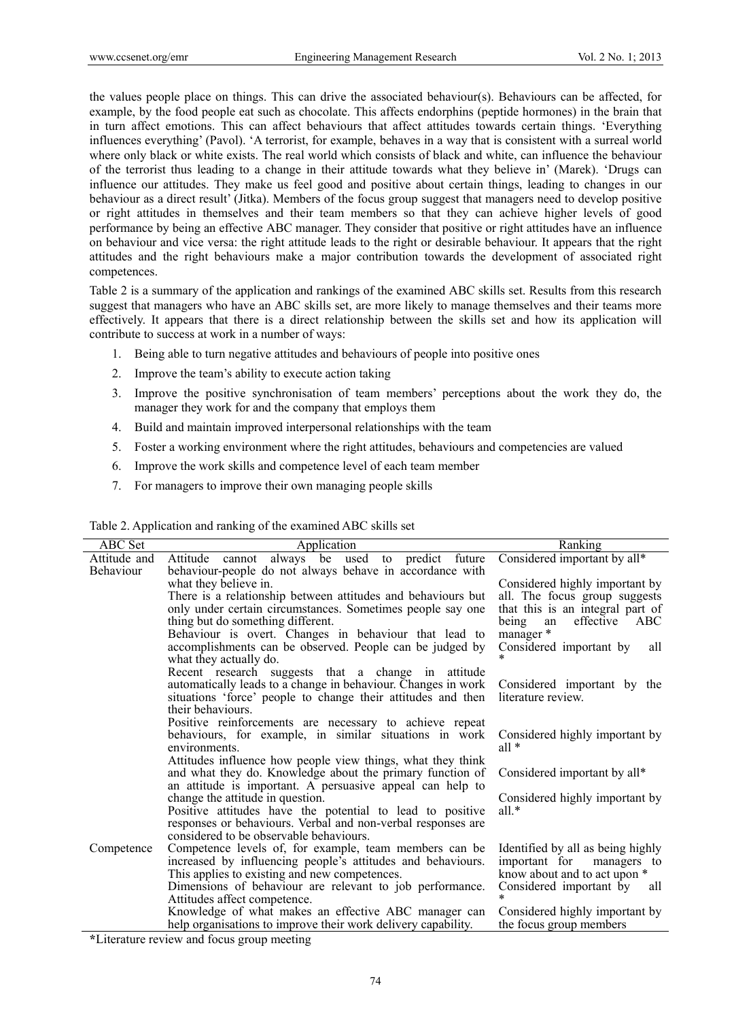the values people place on things. This can drive the associated behaviour(s). Behaviours can be affected, for example, by the food people eat such as chocolate. This affects endorphins (peptide hormones) in the brain that in turn affect emotions. This can affect behaviours that affect attitudes towards certain things. 'Everything influences everything' (Pavol). 'A terrorist, for example, behaves in a way that is consistent with a surreal world where only black or white exists. The real world which consists of black and white, can influence the behaviour of the terrorist thus leading to a change in their attitude towards what they believe in' (Marek). 'Drugs can influence our attitudes. They make us feel good and positive about certain things, leading to changes in our behaviour as a direct result' (Jitka). Members of the focus group suggest that managers need to develop positive or right attitudes in themselves and their team members so that they can achieve higher levels of good performance by being an effective ABC manager. They consider that positive or right attitudes have an influence on behaviour and vice versa: the right attitude leads to the right or desirable behaviour. It appears that the right attitudes and the right behaviours make a major contribution towards the development of associated right competences.

Table 2 is a summary of the application and rankings of the examined ABC skills set. Results from this research suggest that managers who have an ABC skills set, are more likely to manage themselves and their teams more effectively. It appears that there is a direct relationship between the skills set and how its application will contribute to success at work in a number of ways:

- 1. Being able to turn negative attitudes and behaviours of people into positive ones
- 2. Improve the team's ability to execute action taking
- 3. Improve the positive synchronisation of team members' perceptions about the work they do, the manager they work for and the company that employs them
- 4. Build and maintain improved interpersonal relationships with the team
- 5. Foster a working environment where the right attitudes, behaviours and competencies are valued
- 6. Improve the work skills and competence level of each team member
- 7. For managers to improve their own managing people skills

| <b>ABC</b> Set | Application                                                                                                       | Ranking                                     |
|----------------|-------------------------------------------------------------------------------------------------------------------|---------------------------------------------|
| Attitude and   | cannot always be used to predict future<br>Attitude                                                               | Considered important by all*                |
| Behaviour      | behaviour-people do not always behave in accordance with                                                          |                                             |
|                | what they believe in.                                                                                             | Considered highly important by              |
|                | There is a relationship between attitudes and behaviours but                                                      | all. The focus group suggests               |
|                | only under certain circumstances. Sometimes people say one                                                        | that this is an integral part of            |
|                | thing but do something different.                                                                                 | being<br>effective<br>ABC<br>an             |
|                | Behaviour is overt. Changes in behaviour that lead to<br>accomplishments can be observed. People can be judged by | manager *<br>Considered important by<br>all |
|                | what they actually do.                                                                                            |                                             |
|                | Recent research suggests that a change in attitude                                                                |                                             |
|                | automatically leads to a change in behaviour. Changes in work                                                     | Considered important by the                 |
|                | situations 'force' people to change their attitudes and then                                                      | literature review.                          |
|                | their behaviours.                                                                                                 |                                             |
|                | Positive reinforcements are necessary to achieve repeat                                                           |                                             |
|                | behaviours, for example, in similar situations in work<br>environments.                                           | Considered highly important by<br>all $*$   |
|                | Attitudes influence how people view things, what they think                                                       |                                             |
|                | and what they do. Knowledge about the primary function of                                                         | Considered important by all*                |
|                | an attitude is important. A persuasive appeal can help to                                                         |                                             |
|                | change the attitude in question.<br>Positive attitudes have the potential to lead to positive                     | Considered highly important by<br>all. $*$  |
|                | responses or behaviours. Verbal and non-verbal responses are                                                      |                                             |
|                | considered to be observable behaviours.                                                                           |                                             |
| Competence     | Competence levels of, for example, team members can be                                                            | Identified by all as being highly           |
|                | increased by influencing people's attitudes and behaviours.                                                       | important for managers to                   |
|                | This applies to existing and new competences.                                                                     | know about and to act upon *                |
|                | Dimensions of behaviour are relevant to job performance.                                                          | Considered important by<br>all              |
|                | Attitudes affect competence.                                                                                      | $\star$                                     |
|                | Knowledge of what makes an effective ABC manager can                                                              | Considered highly important by              |
|                | help organisations to improve their work delivery capability.                                                     | the focus group members                     |

Table 2. Application and ranking of the examined ABC skills set

**\***Literature review and focus group meeting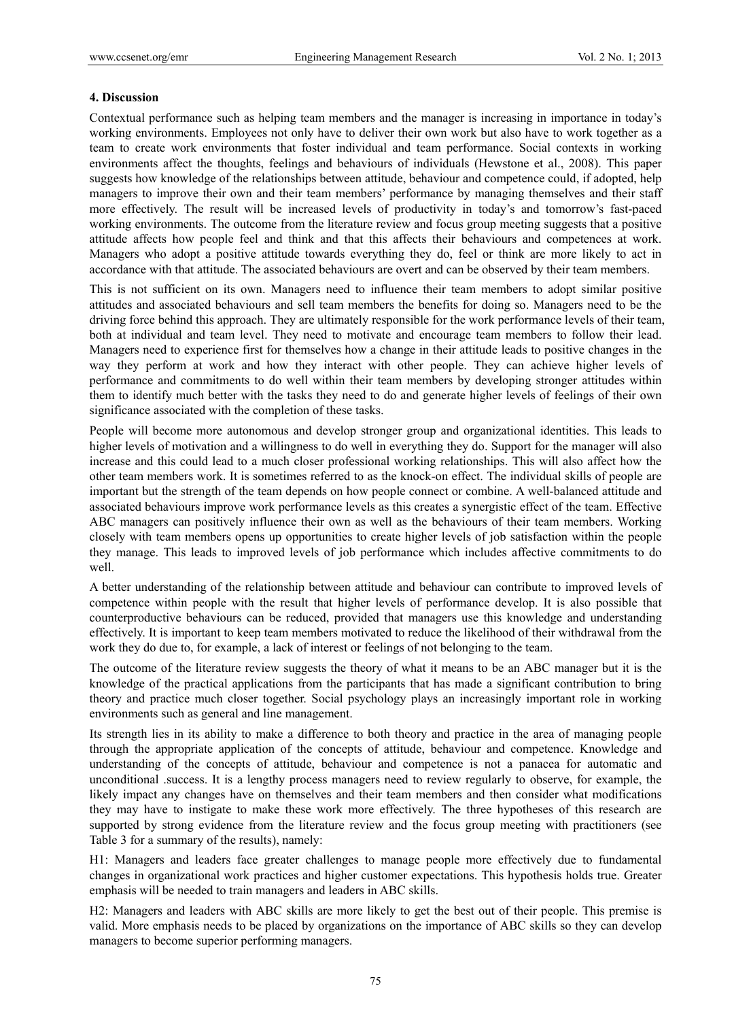#### **4. Discussion**

Contextual performance such as helping team members and the manager is increasing in importance in today's working environments. Employees not only have to deliver their own work but also have to work together as a team to create work environments that foster individual and team performance. Social contexts in working environments affect the thoughts, feelings and behaviours of individuals (Hewstone et al., 2008). This paper suggests how knowledge of the relationships between attitude, behaviour and competence could, if adopted, help managers to improve their own and their team members' performance by managing themselves and their staff more effectively. The result will be increased levels of productivity in today's and tomorrow's fast-paced working environments. The outcome from the literature review and focus group meeting suggests that a positive attitude affects how people feel and think and that this affects their behaviours and competences at work. Managers who adopt a positive attitude towards everything they do, feel or think are more likely to act in accordance with that attitude. The associated behaviours are overt and can be observed by their team members.

This is not sufficient on its own. Managers need to influence their team members to adopt similar positive attitudes and associated behaviours and sell team members the benefits for doing so. Managers need to be the driving force behind this approach. They are ultimately responsible for the work performance levels of their team, both at individual and team level. They need to motivate and encourage team members to follow their lead. Managers need to experience first for themselves how a change in their attitude leads to positive changes in the way they perform at work and how they interact with other people. They can achieve higher levels of performance and commitments to do well within their team members by developing stronger attitudes within them to identify much better with the tasks they need to do and generate higher levels of feelings of their own significance associated with the completion of these tasks.

People will become more autonomous and develop stronger group and organizational identities. This leads to higher levels of motivation and a willingness to do well in everything they do. Support for the manager will also increase and this could lead to a much closer professional working relationships. This will also affect how the other team members work. It is sometimes referred to as the knock-on effect. The individual skills of people are important but the strength of the team depends on how people connect or combine. A well-balanced attitude and associated behaviours improve work performance levels as this creates a synergistic effect of the team. Effective ABC managers can positively influence their own as well as the behaviours of their team members. Working closely with team members opens up opportunities to create higher levels of job satisfaction within the people they manage. This leads to improved levels of job performance which includes affective commitments to do well.

A better understanding of the relationship between attitude and behaviour can contribute to improved levels of competence within people with the result that higher levels of performance develop. It is also possible that counterproductive behaviours can be reduced, provided that managers use this knowledge and understanding effectively. It is important to keep team members motivated to reduce the likelihood of their withdrawal from the work they do due to, for example, a lack of interest or feelings of not belonging to the team.

The outcome of the literature review suggests the theory of what it means to be an ABC manager but it is the knowledge of the practical applications from the participants that has made a significant contribution to bring theory and practice much closer together. Social psychology plays an increasingly important role in working environments such as general and line management.

Its strength lies in its ability to make a difference to both theory and practice in the area of managing people through the appropriate application of the concepts of attitude, behaviour and competence. Knowledge and understanding of the concepts of attitude, behaviour and competence is not a panacea for automatic and unconditional .success. It is a lengthy process managers need to review regularly to observe, for example, the likely impact any changes have on themselves and their team members and then consider what modifications they may have to instigate to make these work more effectively. The three hypotheses of this research are supported by strong evidence from the literature review and the focus group meeting with practitioners (see Table 3 for a summary of the results), namely:

H1: Managers and leaders face greater challenges to manage people more effectively due to fundamental changes in organizational work practices and higher customer expectations. This hypothesis holds true. Greater emphasis will be needed to train managers and leaders in ABC skills.

H2: Managers and leaders with ABC skills are more likely to get the best out of their people. This premise is valid. More emphasis needs to be placed by organizations on the importance of ABC skills so they can develop managers to become superior performing managers.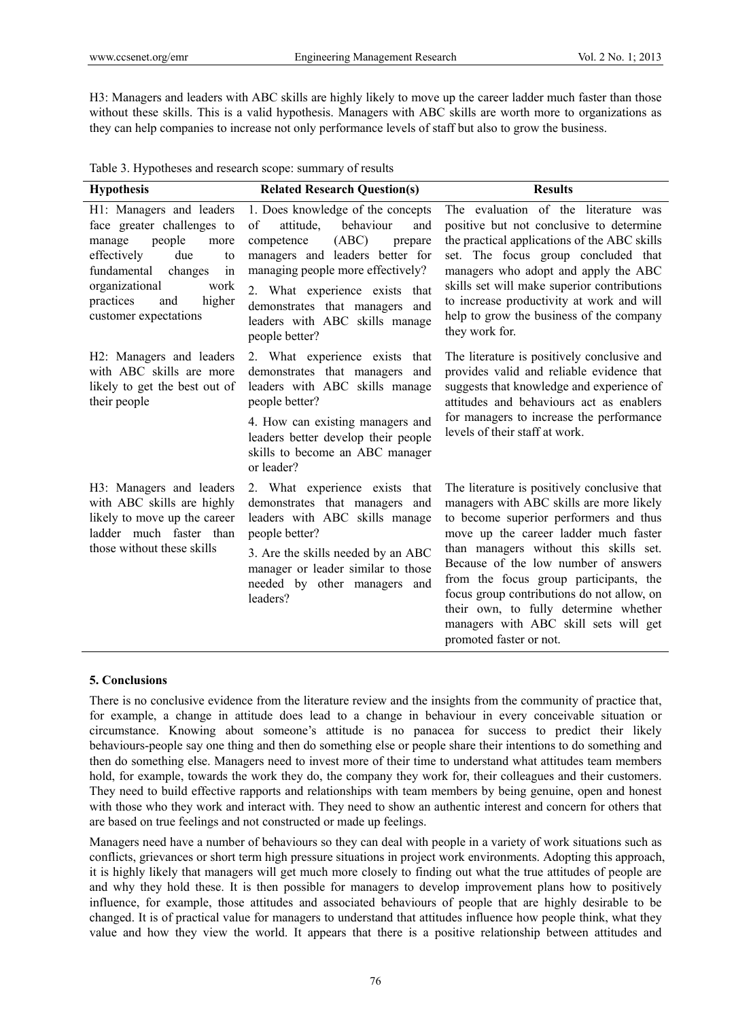H3: Managers and leaders with ABC skills are highly likely to move up the career ladder much faster than those without these skills. This is a valid hypothesis. Managers with ABC skills are worth more to organizations as they can help companies to increase not only performance levels of staff but also to grow the business.

Table 3. Hypotheses and research scope: summary of results

| <b>Hypothesis</b>                                                                                                                                                                                                               | <b>Related Research Question(s)</b>                                                                                                                                                                                                                                                                        | <b>Results</b>                                                                                                                                                                                                                                                                                                                                                                                                                                                     |
|---------------------------------------------------------------------------------------------------------------------------------------------------------------------------------------------------------------------------------|------------------------------------------------------------------------------------------------------------------------------------------------------------------------------------------------------------------------------------------------------------------------------------------------------------|--------------------------------------------------------------------------------------------------------------------------------------------------------------------------------------------------------------------------------------------------------------------------------------------------------------------------------------------------------------------------------------------------------------------------------------------------------------------|
| H1: Managers and leaders<br>face greater challenges to<br>manage<br>people<br>more<br>effectively<br>due<br>to<br>fundamental<br>changes<br>in<br>organizational<br>work<br>practices<br>higher<br>and<br>customer expectations | 1. Does knowledge of the concepts<br>of<br>behaviour<br>attitude.<br>and<br>(ABC)<br>prepare<br>competence<br>managers and leaders better for<br>managing people more effectively?<br>2. What experience exists that<br>demonstrates that managers and<br>leaders with ABC skills manage<br>people better? | The evaluation of the literature was<br>positive but not conclusive to determine<br>the practical applications of the ABC skills<br>set. The focus group concluded that<br>managers who adopt and apply the ABC<br>skills set will make superior contributions<br>to increase productivity at work and will<br>help to grow the business of the company<br>they work for.                                                                                          |
| H2: Managers and leaders<br>with ABC skills are more<br>likely to get the best out of<br>their people                                                                                                                           | 2. What experience exists that<br>demonstrates that managers and<br>leaders with ABC skills manage<br>people better?<br>4. How can existing managers and<br>leaders better develop their people<br>skills to become an ABC manager<br>or leader?                                                           | The literature is positively conclusive and<br>provides valid and reliable evidence that<br>suggests that knowledge and experience of<br>attitudes and behaviours act as enablers<br>for managers to increase the performance<br>levels of their staff at work.                                                                                                                                                                                                    |
| H3: Managers and leaders<br>with ABC skills are highly<br>likely to move up the career<br>ladder much faster than<br>those without these skills                                                                                 | 2. What experience exists<br>that<br>demonstrates that managers and<br>leaders with ABC skills manage<br>people better?<br>3. Are the skills needed by an ABC<br>manager or leader similar to those<br>needed by other managers and<br>leaders?                                                            | The literature is positively conclusive that<br>managers with ABC skills are more likely<br>to become superior performers and thus<br>move up the career ladder much faster<br>than managers without this skills set.<br>Because of the low number of answers<br>from the focus group participants, the<br>focus group contributions do not allow, on<br>their own, to fully determine whether<br>managers with ABC skill sets will get<br>promoted faster or not. |

### **5. Conclusions**

There is no conclusive evidence from the literature review and the insights from the community of practice that, for example, a change in attitude does lead to a change in behaviour in every conceivable situation or circumstance. Knowing about someone's attitude is no panacea for success to predict their likely behaviours-people say one thing and then do something else or people share their intentions to do something and then do something else. Managers need to invest more of their time to understand what attitudes team members hold, for example, towards the work they do, the company they work for, their colleagues and their customers. They need to build effective rapports and relationships with team members by being genuine, open and honest with those who they work and interact with. They need to show an authentic interest and concern for others that are based on true feelings and not constructed or made up feelings.

Managers need have a number of behaviours so they can deal with people in a variety of work situations such as conflicts, grievances or short term high pressure situations in project work environments. Adopting this approach, it is highly likely that managers will get much more closely to finding out what the true attitudes of people are and why they hold these. It is then possible for managers to develop improvement plans how to positively influence, for example, those attitudes and associated behaviours of people that are highly desirable to be changed. It is of practical value for managers to understand that attitudes influence how people think, what they value and how they view the world. It appears that there is a positive relationship between attitudes and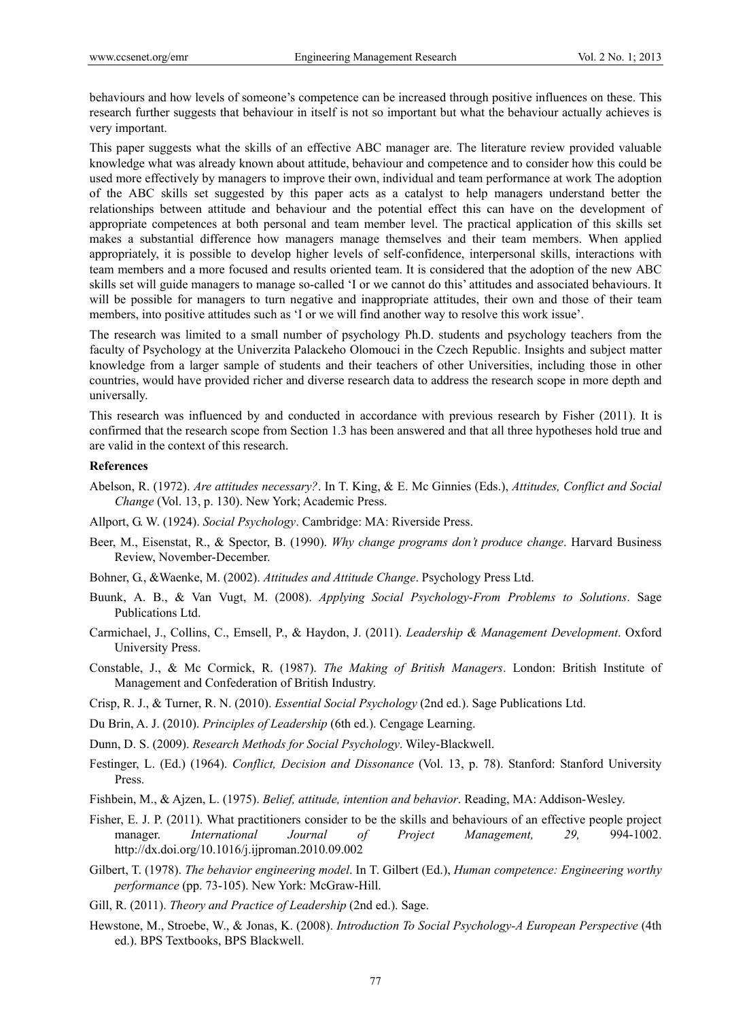behaviours and how levels of someone's competence can be increased through positive influences on these. This research further suggests that behaviour in itself is not so important but what the behaviour actually achieves is very important.

This paper suggests what the skills of an effective ABC manager are. The literature review provided valuable knowledge what was already known about attitude, behaviour and competence and to consider how this could be used more effectively by managers to improve their own, individual and team performance at work The adoption of the ABC skills set suggested by this paper acts as a catalyst to help managers understand better the relationships between attitude and behaviour and the potential effect this can have on the development of appropriate competences at both personal and team member level. The practical application of this skills set makes a substantial difference how managers manage themselves and their team members. When applied appropriately, it is possible to develop higher levels of self-confidence, interpersonal skills, interactions with team members and a more focused and results oriented team. It is considered that the adoption of the new ABC skills set will guide managers to manage so-called 'I or we cannot do this' attitudes and associated behaviours. It will be possible for managers to turn negative and inappropriate attitudes, their own and those of their team members, into positive attitudes such as 'I or we will find another way to resolve this work issue'.

The research was limited to a small number of psychology Ph.D. students and psychology teachers from the faculty of Psychology at the Univerzita Palackeho Olomouci in the Czech Republic. Insights and subject matter knowledge from a larger sample of students and their teachers of other Universities, including those in other countries, would have provided richer and diverse research data to address the research scope in more depth and universally.

This research was influenced by and conducted in accordance with previous research by Fisher (2011). It is confirmed that the research scope from Section 1.3 has been answered and that all three hypotheses hold true and are valid in the context of this research.

### **References**

- Abelson, R. (1972). *Are attitudes necessary?*. In T. King, & E. Mc Ginnies (Eds.), *Attitudes, Conflict and Social Change* (Vol. 13, p. 130). New York; Academic Press.
- Allport, G. W. (1924). *Social Psychology*. Cambridge: MA: Riverside Press.
- Beer, M., Eisenstat, R., & Spector, B. (1990). *Why change programs don't produce change*. Harvard Business Review, November-December.
- Bohner, G., &Waenke, M. (2002). *Attitudes and Attitude Change*. Psychology Press Ltd.
- Buunk, A. B., & Van Vugt, M. (2008). *Applying Social Psychology-From Problems to Solutions*. Sage Publications Ltd.
- Carmichael, J., Collins, C., Emsell, P., & Haydon, J. (2011). *Leadership & Management Development*. Oxford University Press.
- Constable, J., & Mc Cormick, R. (1987). *The Making of British Managers*. London: British Institute of Management and Confederation of British Industry.
- Crisp, R. J., & Turner, R. N. (2010). *Essential Social Psychology* (2nd ed.). Sage Publications Ltd.
- Du Brin, A. J. (2010). *Principles of Leadership* (6th ed.). Cengage Learning.
- Dunn, D. S. (2009). *Research Methods for Social Psychology*. Wiley-Blackwell.
- Festinger, L. (Ed.) (1964). *Conflict, Decision and Dissonance* (Vol. 13, p. 78). Stanford: Stanford University Press.
- Fishbein, M., & Ajzen, L. (1975). *Belief, attitude, intention and behavior*. Reading, MA: Addison-Wesley.
- Fisher, E. J. P. (2011). What practitioners consider to be the skills and behaviours of an effective people project manager. *International Journal of Project Management, 29,* 994-1002. http://dx.doi.org/10.1016/j.ijproman.2010.09.002
- Gilbert, T. (1978). *The behavior engineering model*. In T. Gilbert (Ed.), *Human competence: Engineering worthy performance* (pp. 73-105). New York: McGraw-Hill.
- Gill, R. (2011). *Theory and Practice of Leadership* (2nd ed.). Sage.
- Hewstone, M., Stroebe, W., & Jonas, K. (2008). *Introduction To Social Psychology-A European Perspective* (4th ed.). BPS Textbooks, BPS Blackwell.